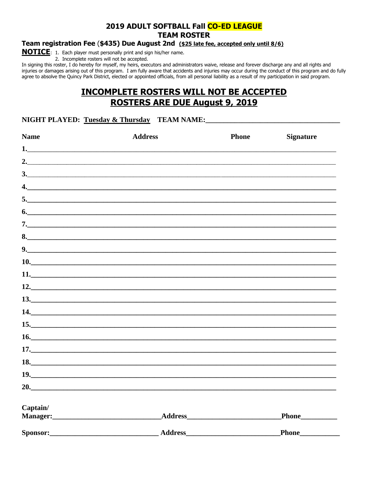## 2019 ADULT SOFTBALL Fall CO-ED LEAGUE **TEAM ROSTER**

### Team registration Fee (\$435) Due August 2nd (\$25 late fee, accepted only until 8/6)

**NOTICE**: 1. Each player must personally print and sign his/her name.

2. Incomplete rosters will not be accepted.

In signing this roster, I do hereby for myself, my heirs, executors and administrators waive, release and forever discharge any and all rights and injuries or damages arising out of this program. I am fully aware that accidents and injuries may occur during the conduct of this program and do fully agree to absolve the Quincy Park District, elected or appointed officials, from all personal liability as a result of my participation in said program.

# **INCOMPLETE ROSTERS WILL NOT BE ACCEPTED ROSTERS ARE DUE August 9, 2019**

#### NIGHT PLAYED: Tuesday & Thursday TEAM NAME:

| <b>Name</b> | <b>Address</b> | <b>Phone</b> | <b>Signature</b> |
|-------------|----------------|--------------|------------------|
|             |                |              |                  |
|             |                |              |                  |
|             | 3.             |              |                  |
|             |                |              |                  |
|             | 5.             |              |                  |
|             | 6.             |              |                  |
|             | 7.             |              |                  |
|             | 8.             |              |                  |
|             |                |              |                  |
|             | 10.            |              |                  |
|             | 11.            |              |                  |
|             | 12.            |              |                  |
|             | 13.            |              |                  |
|             | 14.            |              |                  |
|             | 15.            |              |                  |
|             |                |              |                  |
|             | 17.            |              |                  |
|             | 18.            |              |                  |
|             | 19.            |              |                  |
|             |                |              |                  |
| Captain/    |                |              |                  |
|             |                |              |                  |
| Sponsor:    | <b>Address</b> |              | Phone_           |